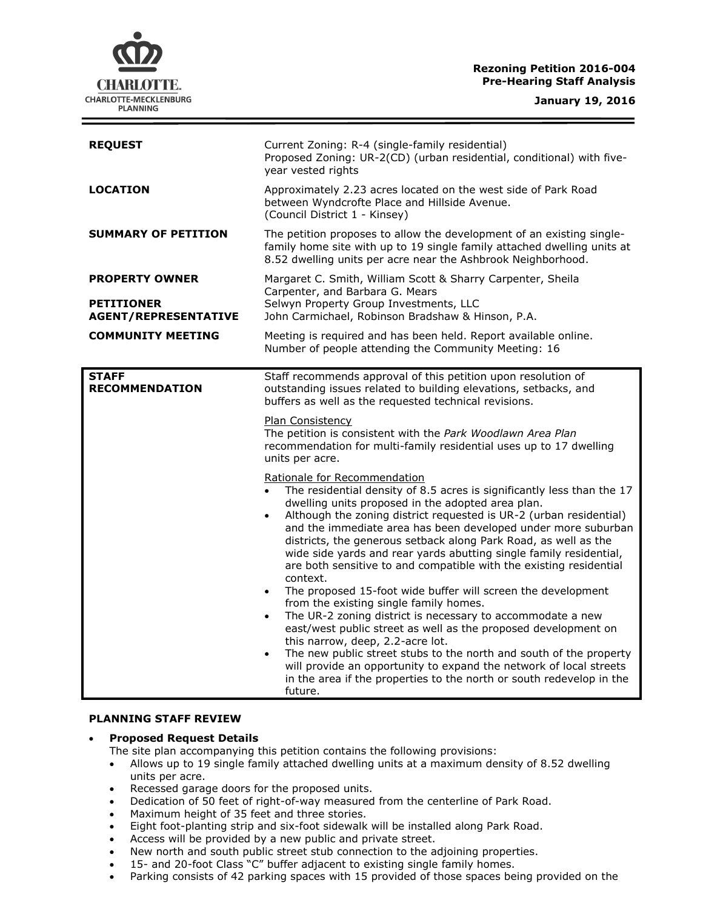# **Rezoning Petition 2016-004 Pre-Hearing Staff Analysis**

**CHARLOTTE.** CHARLOTTE-MECKLENBURG **PLANNING** 

| <b>REQUEST</b>                                                            | Current Zoning: R-4 (single-family residential)<br>Proposed Zoning: UR-2(CD) (urban residential, conditional) with five-<br>year vested rights                                                                                                                                                                                                                                                                                                                                                                                                                                                                                                                                                                                                                                                                                                                                                                                                                                                                                                                                    |
|---------------------------------------------------------------------------|-----------------------------------------------------------------------------------------------------------------------------------------------------------------------------------------------------------------------------------------------------------------------------------------------------------------------------------------------------------------------------------------------------------------------------------------------------------------------------------------------------------------------------------------------------------------------------------------------------------------------------------------------------------------------------------------------------------------------------------------------------------------------------------------------------------------------------------------------------------------------------------------------------------------------------------------------------------------------------------------------------------------------------------------------------------------------------------|
| <b>LOCATION</b>                                                           | Approximately 2.23 acres located on the west side of Park Road<br>between Wyndcrofte Place and Hillside Avenue.<br>(Council District 1 - Kinsey)                                                                                                                                                                                                                                                                                                                                                                                                                                                                                                                                                                                                                                                                                                                                                                                                                                                                                                                                  |
| <b>SUMMARY OF PETITION</b>                                                | The petition proposes to allow the development of an existing single-<br>family home site with up to 19 single family attached dwelling units at<br>8.52 dwelling units per acre near the Ashbrook Neighborhood.                                                                                                                                                                                                                                                                                                                                                                                                                                                                                                                                                                                                                                                                                                                                                                                                                                                                  |
| <b>PROPERTY OWNER</b><br><b>PETITIONER</b><br><b>AGENT/REPRESENTATIVE</b> | Margaret C. Smith, William Scott & Sharry Carpenter, Sheila<br>Carpenter, and Barbara G. Mears<br>Selwyn Property Group Investments, LLC<br>John Carmichael, Robinson Bradshaw & Hinson, P.A.                                                                                                                                                                                                                                                                                                                                                                                                                                                                                                                                                                                                                                                                                                                                                                                                                                                                                     |
| <b>COMMUNITY MEETING</b>                                                  | Meeting is required and has been held. Report available online.<br>Number of people attending the Community Meeting: 16                                                                                                                                                                                                                                                                                                                                                                                                                                                                                                                                                                                                                                                                                                                                                                                                                                                                                                                                                           |
| <b>STAFF</b><br><b>RECOMMENDATION</b>                                     | Staff recommends approval of this petition upon resolution of<br>outstanding issues related to building elevations, setbacks, and<br>buffers as well as the requested technical revisions.                                                                                                                                                                                                                                                                                                                                                                                                                                                                                                                                                                                                                                                                                                                                                                                                                                                                                        |
|                                                                           | Plan Consistency<br>The petition is consistent with the Park Woodlawn Area Plan<br>recommendation for multi-family residential uses up to 17 dwelling<br>units per acre.                                                                                                                                                                                                                                                                                                                                                                                                                                                                                                                                                                                                                                                                                                                                                                                                                                                                                                          |
|                                                                           | Rationale for Recommendation<br>The residential density of 8.5 acres is significantly less than the 17<br>dwelling units proposed in the adopted area plan.<br>Although the zoning district requested is UR-2 (urban residential)<br>and the immediate area has been developed under more suburban<br>districts, the generous setback along Park Road, as well as the<br>wide side yards and rear yards abutting single family residential,<br>are both sensitive to and compatible with the existing residential<br>context.<br>The proposed 15-foot wide buffer will screen the development<br>$\bullet$<br>from the existing single family homes.<br>The UR-2 zoning district is necessary to accommodate a new<br>$\bullet$<br>east/west public street as well as the proposed development on<br>this narrow, deep, 2.2-acre lot.<br>The new public street stubs to the north and south of the property<br>$\bullet$<br>will provide an opportunity to expand the network of local streets<br>in the area if the properties to the north or south redevelop in the<br>future. |

## **PLANNING STAFF REVIEW**

## **Proposed Request Details**

- The site plan accompanying this petition contains the following provisions:
- Allows up to 19 single family attached dwelling units at a maximum density of 8.52 dwelling units per acre.
- Recessed garage doors for the proposed units.
- Dedication of 50 feet of right-of-way measured from the centerline of Park Road.
- Maximum height of 35 feet and three stories.
- Eight foot-planting strip and six-foot sidewalk will be installed along Park Road.
- Access will be provided by a new public and private street.
- New north and south public street stub connection to the adjoining properties.
- 15- and 20-foot Class "C" buffer adjacent to existing single family homes.
- Parking consists of 42 parking spaces with 15 provided of those spaces being provided on the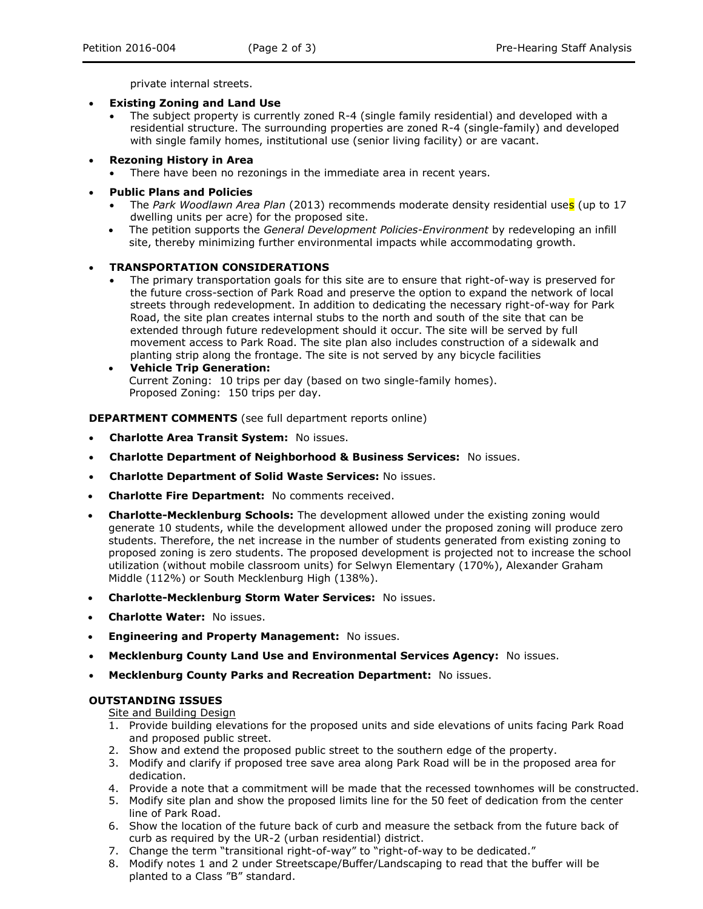private internal streets.

- **Existing Zoning and Land Use**
	- The subject property is currently zoned R-4 (single family residential) and developed with a residential structure. The surrounding properties are zoned R-4 (single-family) and developed with single family homes, institutional use (senior living facility) or are vacant.
- **Rezoning History in Area**
	- There have been no rezonings in the immediate area in recent years.
- **Public Plans and Policies**
	- The *Park Woodlawn Area Plan* (2013) recommends moderate density residential uses (up to 17 dwelling units per acre) for the proposed site.
	- The petition supports the *General Development Policies-Environment* by redeveloping an infill site, thereby minimizing further environmental impacts while accommodating growth.

#### **TRANSPORTATION CONSIDERATIONS**

- The primary transportation goals for this site are to ensure that right-of-way is preserved for the future cross-section of Park Road and preserve the option to expand the network of local streets through redevelopment. In addition to dedicating the necessary right-of-way for Park Road, the site plan creates internal stubs to the north and south of the site that can be extended through future redevelopment should it occur. The site will be served by full movement access to Park Road. The site plan also includes construction of a sidewalk and planting strip along the frontage. The site is not served by any bicycle facilities
- **Vehicle Trip Generation:** Current Zoning: 10 trips per day (based on two single-family homes). Proposed Zoning: 150 trips per day.

**DEPARTMENT COMMENTS** (see full department reports online)

- **Charlotte Area Transit System:** No issues.
- **Charlotte Department of Neighborhood & Business Services:** No issues.
- **Charlotte Department of Solid Waste Services:** No issues.
- **Charlotte Fire Department:** No comments received.
- **Charlotte-Mecklenburg Schools:** The development allowed under the existing zoning would generate 10 students, while the development allowed under the proposed zoning will produce zero students. Therefore, the net increase in the number of students generated from existing zoning to proposed zoning is zero students. The proposed development is projected not to increase the school utilization (without mobile classroom units) for Selwyn Elementary (170%), Alexander Graham Middle (112%) or South Mecklenburg High (138%).
- **Charlotte-Mecklenburg Storm Water Services:** No issues.
- **Charlotte Water:** No issues.
- **Engineering and Property Management:** No issues.
- **Mecklenburg County Land Use and Environmental Services Agency:** No issues.
- **Mecklenburg County Parks and Recreation Department:** No issues.

#### **OUTSTANDING ISSUES**

Site and Building Design

- 1. Provide building elevations for the proposed units and side elevations of units facing Park Road and proposed public street.
- 2. Show and extend the proposed public street to the southern edge of the property.
- 3. Modify and clarify if proposed tree save area along Park Road will be in the proposed area for dedication.
- 4. Provide a note that a commitment will be made that the recessed townhomes will be constructed.
- 5. Modify site plan and show the proposed limits line for the 50 feet of dedication from the center line of Park Road.
- 6. Show the location of the future back of curb and measure the setback from the future back of curb as required by the UR-2 (urban residential) district.
- 7. Change the term "transitional right-of-way" to "right-of-way to be dedicated."
- 8. Modify notes 1 and 2 under Streetscape/Buffer/Landscaping to read that the buffer will be planted to a Class "B" standard.